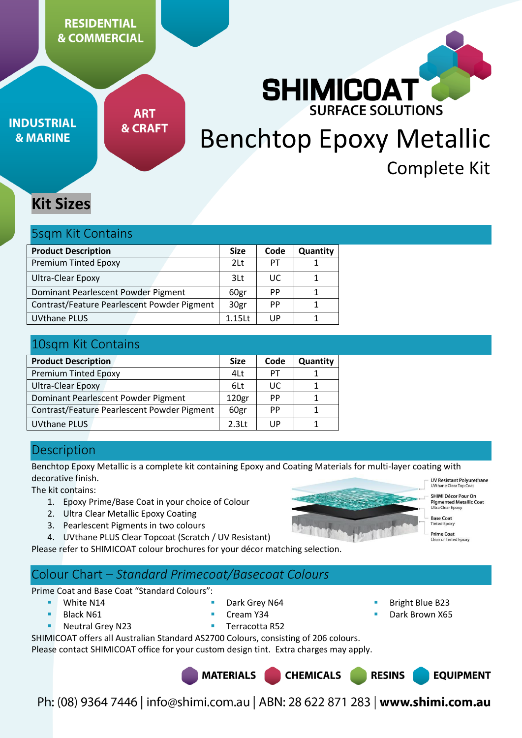# **RESIDENTIAL & COMMERCIAL**

**INDUSTRIAL & MARINE** 

**ART & CRAFT** 

# **CE SOLUTIONS** Benchtop Epoxy Metallic Complete Kit

**SHIMICOAT** 

# **Kit Sizes**

## 5sqm Kit Contains

| <b>Product Description</b>                  | <b>Size</b>     | Code | Quantity |
|---------------------------------------------|-----------------|------|----------|
| <b>Premium Tinted Epoxy</b>                 | 2 <sup>lt</sup> | PT   |          |
| Ultra-Clear Epoxy                           | 3Lt             | UC.  |          |
| Dominant Pearlescent Powder Pigment         | 60gr            | PP   |          |
| Contrast/Feature Pearlescent Powder Pigment | 30gr            | PP   |          |
| <b>UVthane PLUS</b>                         | $1.15$ Lt       | UP   |          |

# 10sqm Kit Contains

| <b>Product Description</b>                  | <b>Size</b>       | Code      | Quantity |
|---------------------------------------------|-------------------|-----------|----------|
| <b>Premium Tinted Epoxy</b>                 | 4Lt               | PT        |          |
| Ultra-Clear Epoxy                           | 6Lt               | UC        |          |
| Dominant Pearlescent Powder Pigment         | 120 <sub>gr</sub> | <b>PP</b> |          |
| Contrast/Feature Pearlescent Powder Pigment | 60gr              | PP        |          |
| <b>UVthane PLUS</b>                         | 2.3 <sub>lt</sub> | UP        |          |

# **Description**

Benchtop Epoxy Metallic is a complete kit containing Epoxy and Coating Materials for multi-layer coating with decorative finish.

The kit contains:

- 1. Epoxy Prime/Base Coat in your choice of Colour
- 2. Ultra Clear Metallic Epoxy Coating
- 3. Pearlescent Pigments in two colours

4. UVthane PLUS Clear Topcoat (Scratch / UV Resistant)

Please refer to SHIMICOAT colour brochures for your décor matching selection.

# Colour Chart – *Standard Primecoat/Basecoat Colours*

Prime Coat and Base Coat "Standard Colours":

White N14

- Dark Grey N64
- Cream Y34
- Black N61 Neutral Grey N23
- Terracotta R52
- SHIMICOAT offers all Australian Standard AS2700 Colours, consisting of 206 colours.

Please contact SHIMICOAT office for your custom design tint. Extra charges may apply.





- **UV Resistant Polyurethane**<br>UVthane Clear Top Coat
- SHIMI Décor Pour On Pigmented Metallic Coat<br>Ultra Clear Epoxy

**EQUIPMENT** 

**Base Coat Tinted Fooxy** 

 Bright Blue B23 Dark Brown X65

**RESINS** 

**Prime Coat**<br>Clear or Tinted Epoxy

Ph: (08) 9364 7446 | info@shimi.com.au | ABN: 28 622 871 283 | www.shimi.com.au

**CHEMICALS**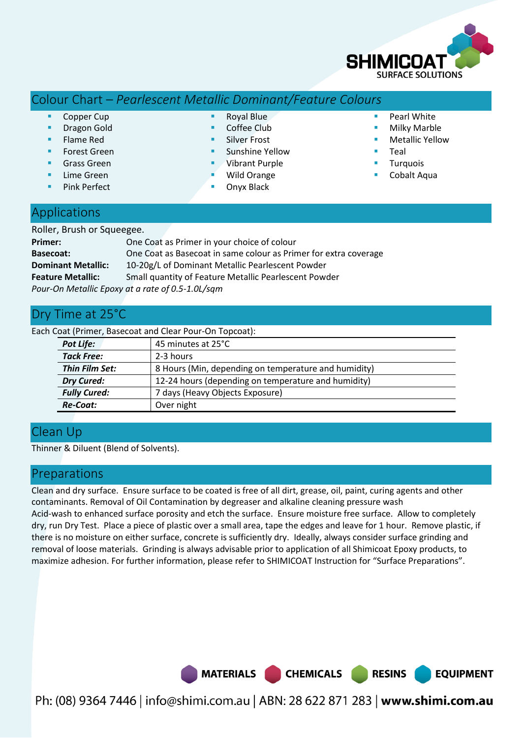

# Colour Chart – *Pearlescent Metallic Dominant/Feature Colours*

- Copper Cup
- Dragon Gold
- Flame Red
- Forest Green
- Grass Green
- Lime Green
- Pink Perfect
- Royal Blue
- Coffee Club
- Silver Frost
- Sunshine Yellow
- Vibrant Purple Wild Orange
- Onyx Black
- **Pearl White**
- Milky Marble
- **Netallic Yellow**
- Teal
- Turquois
- Cobalt Aqua

# **Applications**

| Roller, Brush or Squeegee. |                                                                  |
|----------------------------|------------------------------------------------------------------|
| Primer:                    | One Coat as Primer in your choice of colour                      |
| <b>Basecoat:</b>           | One Coat as Basecoat in same colour as Primer for extra coverage |
| <b>Dominant Metallic:</b>  | 10-20g/L of Dominant Metallic Pearlescent Powder                 |
| <b>Feature Metallic:</b>   | Small quantity of Feature Metallic Pearlescent Powder            |
|                            | Pour-On Metallic Epoxy at a rate of 0.5-1.0L/sqm                 |

# Dry Time at 25°C

Each Coat (Primer, Basecoat and Clear Pour-On Topcoat):

| Pot Life:                                                                | 45 minutes at 25°C |  |  |
|--------------------------------------------------------------------------|--------------------|--|--|
| <b>Tack Free:</b>                                                        | 2-3 hours          |  |  |
| Thin Film Set:<br>8 Hours (Min, depending on temperature and humidity)   |                    |  |  |
| 12-24 hours (depending on temperature and humidity)<br><b>Dry Cured:</b> |                    |  |  |
| <b>Fully Cured:</b><br>7 days (Heavy Objects Exposure)                   |                    |  |  |
| Re-Coat:                                                                 | Over night         |  |  |

# Clean Up

Thinner & Diluent (Blend of Solvents).

## Preparations

Clean and dry surface. Ensure surface to be coated is free of all dirt, grease, oil, paint, curing agents and other contaminants. Removal of Oil Contamination by degreaser and alkaline cleaning pressure wash Acid-wash to enhanced surface porosity and etch the surface. Ensure moisture free surface. Allow to completely dry, run Dry Test. Place a piece of plastic over a small area, tape the edges and leave for 1 hour. Remove plastic, if there is no moisture on either surface, concrete is sufficiently dry. Ideally, always consider surface grinding and removal of loose materials. Grinding is always advisable prior to application of all Shimicoat Epoxy products, to maximize adhesion. For further information, please refer to SHIMICOAT Instruction for "Surface Preparations".

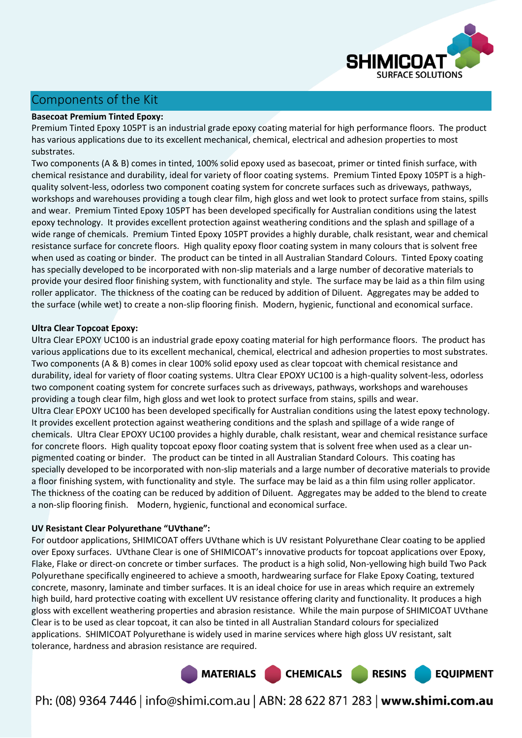

# Components of the Kit

### **Basecoat Premium Tinted Epoxy:**

Premium Tinted Epoxy 105PT is an industrial grade epoxy coating material for high performance floors. The product has various applications due to its excellent mechanical, chemical, electrical and adhesion properties to most substrates.

Two components (A & B) comes in tinted, 100% solid epoxy used as basecoat, primer or tinted finish surface, with chemical resistance and durability, ideal for variety of floor coating systems. Premium Tinted Epoxy 105PT is a highquality solvent-less, odorless two component coating system for concrete surfaces such as driveways, pathways, workshops and warehouses providing a tough clear film, high gloss and wet look to protect surface from stains, spills and wear. Premium Tinted Epoxy 105PT has been developed specifically for Australian conditions using the latest epoxy technology. It provides excellent protection against weathering conditions and the splash and spillage of a wide range of chemicals. Premium Tinted Epoxy 105PT provides a highly durable, chalk resistant, wear and chemical resistance surface for concrete floors. High quality epoxy floor coating system in many colours that is solvent free when used as coating or binder. The product can be tinted in all Australian Standard Colours. Tinted Epoxy coating has specially developed to be incorporated with non-slip materials and a large number of decorative materials to provide your desired floor finishing system, with functionality and style. The surface may be laid as a thin film using roller applicator. The thickness of the coating can be reduced by addition of Diluent. Aggregates may be added to the surface (while wet) to create a non-slip flooring finish. Modern, hygienic, functional and economical surface.

### **Ultra Clear Topcoat Epoxy:**

Ultra Clear EPOXY UC100 is an industrial grade epoxy coating material for high performance floors. The product has various applications due to its excellent mechanical, chemical, electrical and adhesion properties to most substrates. Two components (A & B) comes in clear 100% solid epoxy used as clear topcoat with chemical resistance and durability, ideal for variety of floor coating systems. Ultra Clear EPOXY UC100 is a high-quality solvent-less, odorless two component coating system for concrete surfaces such as driveways, pathways, workshops and warehouses providing a tough clear film, high gloss and wet look to protect surface from stains, spills and wear. Ultra Clear EPOXY UC100 has been developed specifically for Australian conditions using the latest epoxy technology. It provides excellent protection against weathering conditions and the splash and spillage of a wide range of chemicals. Ultra Clear EPOXY UC100 provides a highly durable, chalk resistant, wear and chemical resistance surface for concrete floors. High quality topcoat epoxy floor coating system that is solvent free when used as a clear unpigmented coating or binder. The product can be tinted in all Australian Standard Colours. This coating has specially developed to be incorporated with non-slip materials and a large number of decorative materials to provide a floor finishing system, with functionality and style. The surface may be laid as a thin film using roller applicator. The thickness of the coating can be reduced by addition of Diluent. Aggregates may be added to the blend to create a non-slip flooring finish. Modern, hygienic, functional and economical surface.

#### **UV Resistant Clear Polyurethane "UVthane":**

For outdoor applications, SHIMICOAT offers UVthane which is UV resistant Polyurethane Clear coating to be applied over Epoxy surfaces. UVthane Clear is one of SHIMICOAT's innovative products for topcoat applications over Epoxy, Flake, Flake or direct-on concrete or timber surfaces. The product is a high solid, Non-yellowing high build Two Pack Polyurethane specifically engineered to achieve a smooth, hardwearing surface for Flake Epoxy Coating, textured concrete, masonry, laminate and timber surfaces. It is an ideal choice for use in areas which require an extremely high build, hard protective coating with excellent UV resistance offering clarity and functionality. It produces a high gloss with excellent weathering properties and abrasion resistance. While the main purpose of SHIMICOAT UVthane Clear is to be used as clear topcoat, it can also be tinted in all Australian Standard colours for specialized applications. SHIMICOAT Polyurethane is widely used in marine services where high gloss UV resistant, salt tolerance, hardness and abrasion resistance are required.

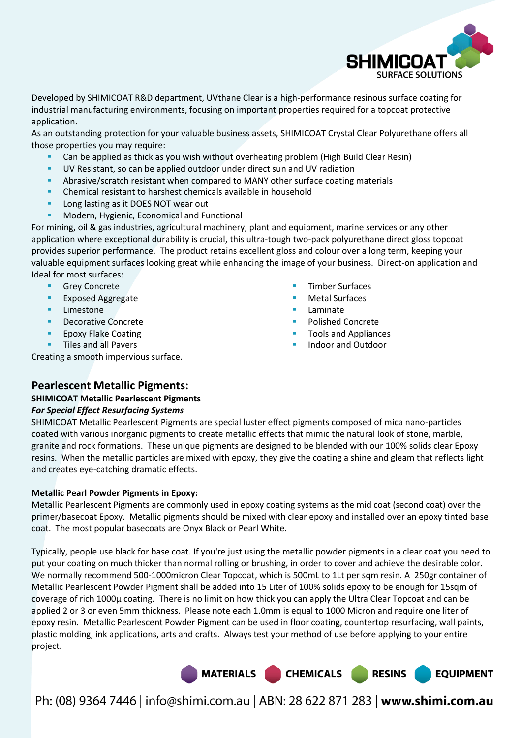

Developed by SHIMICOAT R&D department, UVthane Clear is a high-performance resinous surface coating for industrial manufacturing environments, focusing on important properties required for a topcoat protective application.

As an outstanding protection for your valuable business assets, SHIMICOAT Crystal Clear Polyurethane offers all those properties you may require:

- Can be applied as thick as you wish without overheating problem (High Build Clear Resin)
- UV Resistant, so can be applied outdoor under direct sun and UV radiation
- Abrasive/scratch resistant when compared to MANY other surface coating materials
- Chemical resistant to harshest chemicals available in household
- **Long lasting as it DOES NOT wear out**
- Modern, Hygienic, Economical and Functional

For mining, oil & gas industries, agricultural machinery, plant and equipment, marine services or any other application where exceptional durability is crucial, this ultra-tough two-pack polyurethane direct gloss topcoat provides superior performance. The product retains excellent gloss and colour over a long term, keeping your valuable equipment surfaces looking great while enhancing the image of your business. Direct-on application and Ideal for most surfaces:

- Grey Concrete
- Exposed Aggregate
- **Limestone**
- Decorative Concrete
- Epoxy Flake Coating
- **Tiles and all Pavers**

Creating a smooth impervious surface.

- Timber Surfaces
- Metal Surfaces
- Laminate
- Polished Concrete
- Tools and Appliances
- Indoor and Outdoor

### **Pearlescent Metallic Pigments:**

### **SHIMICOAT Metallic Pearlescent Pigments**  *For Special Effect Resurfacing Systems*

SHIMICOAT Metallic Pearlescent Pigments are special luster effect pigments composed of mica nano-particles coated with various inorganic pigments to create metallic effects that mimic the natural look of stone, marble, granite and rock formations. These unique pigments are designed to be blended with our 100% solids clear Epoxy resins. When the metallic particles are mixed with epoxy, they give the coating a shine and gleam that reflects light and creates eye-catching dramatic effects.

### **Metallic Pearl Powder Pigments in Epoxy:**

Metallic Pearlescent Pigments are commonly used in epoxy coating systems as the mid coat (second coat) over the primer/basecoat Epoxy. Metallic pigments should be mixed with clear epoxy and installed over an epoxy tinted base coat. The most popular basecoats are Onyx Black or Pearl White.

Typically, people use black for base coat. If you're just using the metallic powder pigments in a clear coat you need to put your coating on much thicker than normal rolling or brushing, in order to cover and achieve the desirable color. We normally recommend 500-1000micron Clear Topcoat, which is 500mL to 1Lt per sqm resin. A 250gr container of Metallic Pearlescent Powder Pigment shall be added into 15 Liter of 100% solids epoxy to be enough for 15sqm of coverage of rich 1000µ coating. There is no limit on how thick you can apply the Ultra Clear Topcoat and can be applied 2 or 3 or even 5mm thickness. Please note each 1.0mm is equal to 1000 Micron and require one liter of epoxy resin. Metallic Pearlescent Powder Pigment can be used in floor coating, countertop resurfacing, wall paints, plastic molding, ink applications, arts and crafts. Always test your method of use before applying to your entire project.

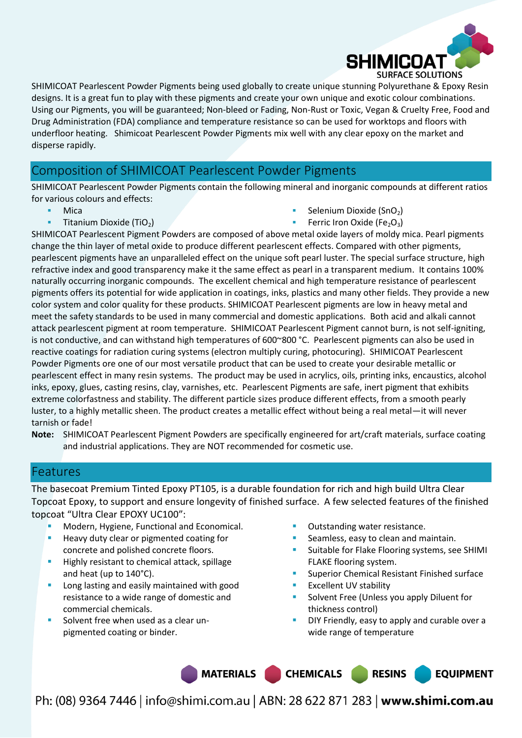

SHIMICOAT Pearlescent Powder Pigments being used globally to create unique stunning Polyurethane & Epoxy Resin designs. It is a great fun to play with these pigments and create your own unique and exotic colour combinations. Using our Pigments, you will be guaranteed; Non-bleed or Fading, Non-Rust or Toxic, Vegan & Cruelty Free, Food and Drug Administration (FDA) compliance and temperature resistance so can be used for worktops and floors with underfloor heating. Shimicoat Pearlescent Powder Pigments mix well with any clear epoxy on the market and disperse rapidly.

# Composition of SHIMICOAT Pearlescent Powder Pigments

SHIMICOAT Pearlescent Powder Pigments contain the following mineral and inorganic compounds at different ratios for various colours and effects:

- Mica
- **Titanium Dioxide (TiO<sub>2</sub>)**
- Selenium Dioxide (SnO<sub>2</sub>)
- **Ferric Iron Oxide (Fe<sub>2</sub>O<sub>3</sub>)**

SHIMICOAT Pearlescent Pigment Powders are composed of above metal oxide layers of moldy mica. Pearl pigments change the thin layer of metal oxide to produce different pearlescent effects. Compared with other pigments, pearlescent pigments have an unparalleled effect on the unique soft pearl luster. The special surface structure, high refractive index and good transparency make it the same effect as pearl in a transparent medium. It contains 100% naturally occurring inorganic compounds. The excellent chemical and high temperature resistance of pearlescent pigments offers its potential for wide application in coatings, inks, plastics and many other fields. They provide a new color system and color quality for these products. SHIMICOAT Pearlescent pigments are low in heavy metal and meet the safety standards to be used in many commercial and domestic applications. Both acid and alkali cannot attack pearlescent pigment at room temperature. SHIMICOAT Pearlescent Pigment cannot burn, is not self-igniting, is not conductive, and can withstand high temperatures of 600~800 °C. Pearlescent pigments can also be used in reactive coatings for radiation curing systems (electron multiply curing, photocuring). SHIMICOAT Pearlescent Powder Pigments ore one of our most versatile product that can be used to create your desirable metallic or pearlescent effect in many resin systems. The product may be used in acrylics, oils, printing inks, encaustics, alcohol inks, epoxy, glues, casting resins, clay, varnishes, etc. Pearlescent Pigments are safe, inert pigment that exhibits extreme colorfastness and stability. The different particle sizes produce different effects, from a smooth pearly luster, to a highly metallic sheen. The product creates a metallic effect without being a real metal—it will never tarnish or fade!

**Note:** SHIMICOAT Pearlescent Pigment Powders are specifically engineered for art/craft materials, surface coating and industrial applications. They are NOT recommended for cosmetic use.

## Features

The basecoat Premium Tinted Epoxy PT105, is a durable foundation for rich and high build Ultra Clear Topcoat Epoxy, to support and ensure longevity of finished surface. A few selected features of the finished topcoat "Ultra Clear EPOXY UC100":

- Modern, Hygiene, Functional and Economical.
- Heavy duty clear or pigmented coating for concrete and polished concrete floors.
- Highly resistant to chemical attack, spillage and heat (up to 140°C).
- Long lasting and easily maintained with good resistance to a wide range of domestic and commercial chemicals.
- Solvent free when used as a clear unpigmented coating or binder.
- Outstanding water resistance.
- Seamless, easy to clean and maintain.
- Suitable for Flake Flooring systems, see SHIMI FLAKE flooring system.
- Superior Chemical Resistant Finished surface
- Excellent UV stability
- Solvent Free (Unless you apply Diluent for thickness control)
- DIY Friendly, easy to apply and curable over a wide range of temperature

**EQUIPMENT** 

MATERIALS CHEMICALS RESINS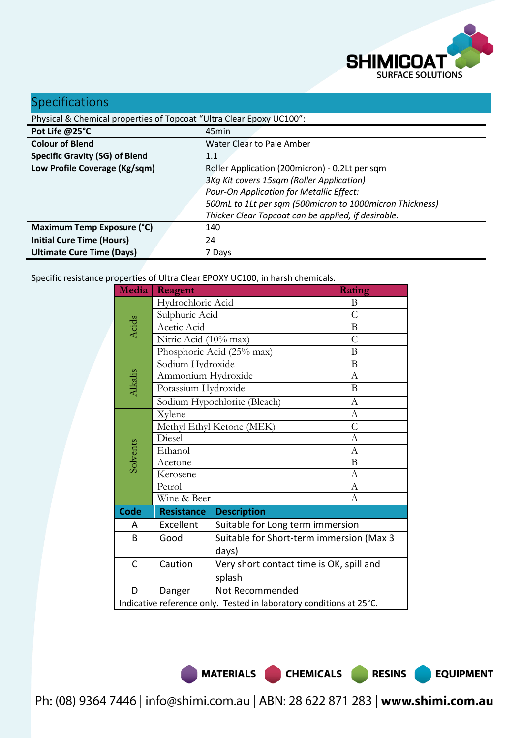

**EQUIPMENT** 

# Specifications

| Physical & Chemical properties of Topcoat "Ultra Clear Epoxy UC100": |                                                          |  |  |
|----------------------------------------------------------------------|----------------------------------------------------------|--|--|
| Pot Life @25°C                                                       | 45min                                                    |  |  |
| <b>Colour of Blend</b>                                               | Water Clear to Pale Amber                                |  |  |
| <b>Specific Gravity (SG) of Blend</b>                                | 1.1                                                      |  |  |
| Low Profile Coverage (Kg/sqm)                                        | Roller Application (200micron) - 0.2Lt per sqm           |  |  |
| 3Kg Kit covers 15sqm (Roller Application)                            |                                                          |  |  |
|                                                                      | Pour-On Application for Metallic Effect:                 |  |  |
|                                                                      | 500mL to 1Lt per sqm (500micron to 1000micron Thickness) |  |  |
|                                                                      | Thicker Clear Topcoat can be applied, if desirable.      |  |  |
| Maximum Temp Exposure (°C)                                           | 140                                                      |  |  |
| <b>Initial Cure Time (Hours)</b>                                     | 24                                                       |  |  |
| <b>Ultimate Cure Time (Days)</b>                                     | 7 Days                                                   |  |  |

Specific resistance properties of Ultra Clear EPOXY UC100, in harsh chemicals.

| Media                                                               | Reagent                   |                                          | Rating           |  |
|---------------------------------------------------------------------|---------------------------|------------------------------------------|------------------|--|
|                                                                     | Hydrochloric Acid         | B                                        |                  |  |
|                                                                     | Sulphuric Acid            |                                          | $\overline{C}$   |  |
| Acids                                                               | Acetic Acid               |                                          | $\bf{B}$         |  |
|                                                                     | Nitric Acid (10% max)     |                                          | C                |  |
|                                                                     |                           | Phosphoric Acid (25% max)                | B                |  |
|                                                                     | Sodium Hydroxide          |                                          | B                |  |
|                                                                     | Ammonium Hydroxide        |                                          | $\mathbf{A}$     |  |
| Alkalis                                                             | Potassium Hydroxide       |                                          | B                |  |
|                                                                     |                           | Sodium Hypochlorite (Bleach)             | $\boldsymbol{A}$ |  |
|                                                                     | Xylene                    |                                          | $\mathbf{A}$     |  |
|                                                                     | Methyl Ethyl Ketone (MEK) |                                          | C                |  |
|                                                                     | Diesel                    |                                          | A                |  |
| Solvents                                                            | Ethanol                   |                                          | $\mathbf{A}$     |  |
|                                                                     | Acetone                   |                                          | B                |  |
|                                                                     | Kerosene                  |                                          | A                |  |
|                                                                     | Petrol                    |                                          | $\boldsymbol{A}$ |  |
|                                                                     | Wine & Beer               |                                          | A                |  |
| <b>Code</b>                                                         | <b>Resistance</b>         | <b>Description</b>                       |                  |  |
| A                                                                   | Excellent                 | Suitable for Long term immersion         |                  |  |
| B                                                                   | Good                      | Suitable for Short-term immersion (Max 3 |                  |  |
|                                                                     |                           | days)                                    |                  |  |
| C                                                                   | Caution                   | Very short contact time is OK, spill and |                  |  |
|                                                                     |                           | splash                                   |                  |  |
| D                                                                   | Danger                    | Not Recommended                          |                  |  |
| Indicative reference only. Tested in laboratory conditions at 25°C. |                           |                                          |                  |  |

MATERIALS CHEMICALS RESINS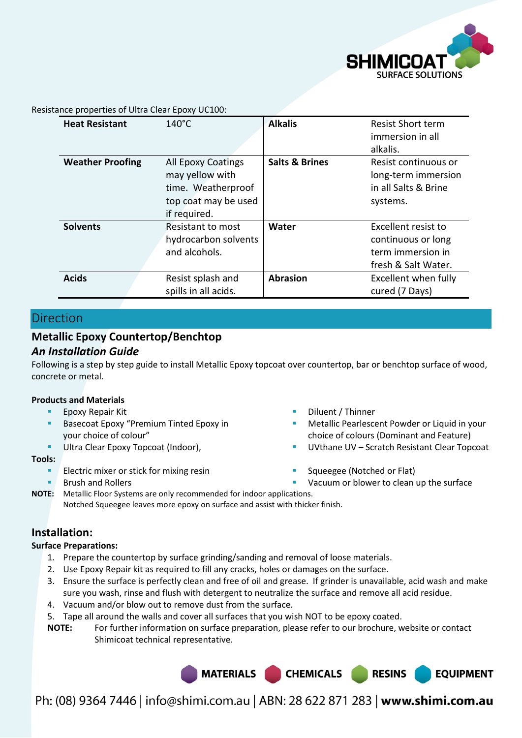

Resistance properties of Ultra Clear Epoxy UC100:

| <b>Heat Resistant</b>   | $140^{\circ}$ C                                                                                     | <b>Alkalis</b>            | <b>Resist Short term</b><br>immersion in all<br>alkalis.                              |
|-------------------------|-----------------------------------------------------------------------------------------------------|---------------------------|---------------------------------------------------------------------------------------|
| <b>Weather Proofing</b> | All Epoxy Coatings<br>may yellow with<br>time. Weatherproof<br>top coat may be used<br>if required. | <b>Salts &amp; Brines</b> | Resist continuous or<br>long-term immersion<br>in all Salts & Brine<br>systems.       |
| <b>Solvents</b>         | <b>Resistant to most</b><br>hydrocarbon solvents<br>and alcohols.                                   | Water                     | Excellent resist to<br>continuous or long<br>term immersion in<br>fresh & Salt Water. |
| <b>Acids</b>            | Resist splash and<br>spills in all acids.                                                           | <b>Abrasion</b>           | Excellent when fully<br>cured (7 Days)                                                |

# Direction

# **Metallic Epoxy Countertop/Benchtop**

### *An Installation Guide*

Following is a step by step guide to install Metallic Epoxy topcoat over countertop, bar or benchtop surface of wood, concrete or metal.

#### **Products and Materials**

- Epoxy Repair Kit
- Basecoat Epoxy "Premium Tinted Epoxy in your choice of colour"
- Ultra Clear Epoxy Topcoat (Indoor),

#### **Tools:**

- Electric mixer or stick for mixing resin
- Brush and Rollers
- Diluent / Thinner
- Metallic Pearlescent Powder or Liquid in your choice of colours (Dominant and Feature)
- UVthane UV Scratch Resistant Clear Topcoat

**EQUIPMENT** 

- Squeegee (Notched or Flat)
- Vacuum or blower to clean up the surface

**NOTE:** Metallic Floor Systems are only recommended for indoor applications. Notched Squeegee leaves more epoxy on surface and assist with thicker finish.

## **Installation:**

### **Surface Preparations:**

- 1. Prepare the countertop by surface grinding/sanding and removal of loose materials.
- 2. Use Epoxy Repair kit as required to fill any cracks, holes or damages on the surface.
- 3. Ensure the surface is perfectly clean and free of oil and grease. If grinder is unavailable, acid wash and make sure you wash, rinse and flush with detergent to neutralize the surface and remove all acid residue.
- 4. Vacuum and/or blow out to remove dust from the surface.
- 5. Tape all around the walls and cover all surfaces that you wish NOT to be epoxy coated.
- **NOTE:** For further information on surface preparation, please refer to our brochure, website or contact Shimicoat technical representative.

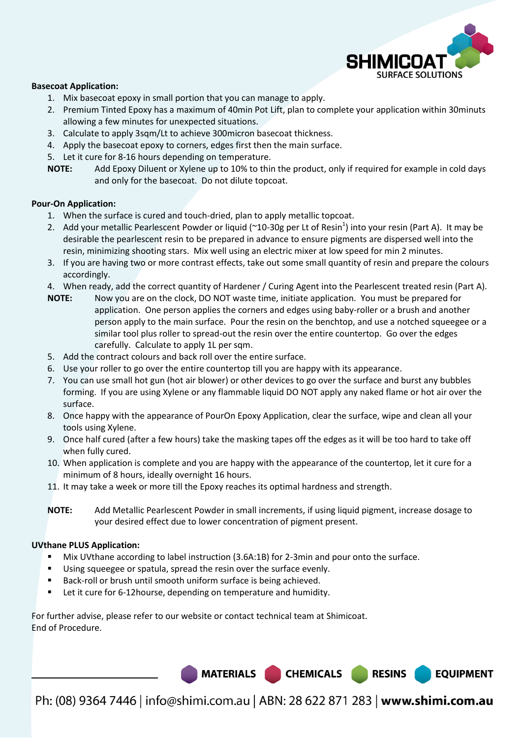

#### **Basecoat Application:**

- 1. Mix basecoat epoxy in small portion that you can manage to apply.
- 2. Premium Tinted Epoxy has a maximum of 40min Pot Lift, plan to complete your application within 30minuts allowing a few minutes for unexpected situations.
- 3. Calculate to apply 3sqm/Lt to achieve 300micron basecoat thickness.
- 4. Apply the basecoat epoxy to corners, edges first then the main surface.
- 5. Let it cure for 8-16 hours depending on temperature.

**NOTE:** Add Epoxy Diluent or Xylene up to 10% to thin the product, only if required for example in cold days and only for the basecoat. Do not dilute topcoat.

#### **Pour-On Application:**

- 1. When the surface is cured and touch-dried, plan to apply metallic topcoat.
- 2. Add your metallic Pearlescent Powder or liquid ( $\sim$ 10-30g per Lt of Resin<sup>1</sup>) into your resin (Part A). It may be desirable the pearlescent resin to be prepared in advance to ensure pigments are dispersed well into the resin, minimizing shooting stars. Mix well using an electric mixer at low speed for min 2 minutes.
- 3. If you are having two or more contrast effects, take out some small quantity of resin and prepare the colours accordingly.
- 4. When ready, add the correct quantity of Hardener / Curing Agent into the Pearlescent treated resin (Part A).
- **NOTE:** Now you are on the clock, DO NOT waste time, initiate application. You must be prepared for application. One person applies the corners and edges using baby-roller or a brush and another person apply to the main surface. Pour the resin on the benchtop, and use a notched squeegee or a similar tool plus roller to spread-out the resin over the entire countertop. Go over the edges carefully. Calculate to apply 1L per sqm.
- 5. Add the contract colours and back roll over the entire surface.
- 6. Use your roller to go over the entire countertop till you are happy with its appearance.
- 7. You can use small hot gun (hot air blower) or other devices to go over the surface and burst any bubbles forming. If you are using Xylene or any flammable liquid DO NOT apply any naked flame or hot air over the surface.
- 8. Once happy with the appearance of PourOn Epoxy Application, clear the surface, wipe and clean all your tools using Xylene.
- 9. Once half cured (after a few hours) take the masking tapes off the edges as it will be too hard to take off when fully cured.
- 10. When application is complete and you are happy with the appearance of the countertop, let it cure for a minimum of 8 hours, ideally overnight 16 hours.
- 11. It may take a week or more till the Epoxy reaches its optimal hardness and strength.

**NOTE:** Add Metallic Pearlescent Powder in small increments, if using liquid pigment, increase dosage to your desired effect due to lower concentration of pigment present.

#### **UVthane PLUS Application:**

.

- Mix UVthane according to label instruction (3.6A:1B) for 2-3min and pour onto the surface.
- Using squeegee or spatula, spread the resin over the surface evenly.
- Back-roll or brush until smooth uniform surface is being achieved.
- Let it cure for 6-12 hourse, depending on temperature and humidity.

For further advise, please refer to our website or contact technical team at Shimicoat. End of Procedure.

Ph: (08) 9364 7446 | info@shimi.com.au | ABN: 28 622 871 283 | www.shimi.com.au

MATERIALS CHEMICALS RESINS

**EQUIPMENT**